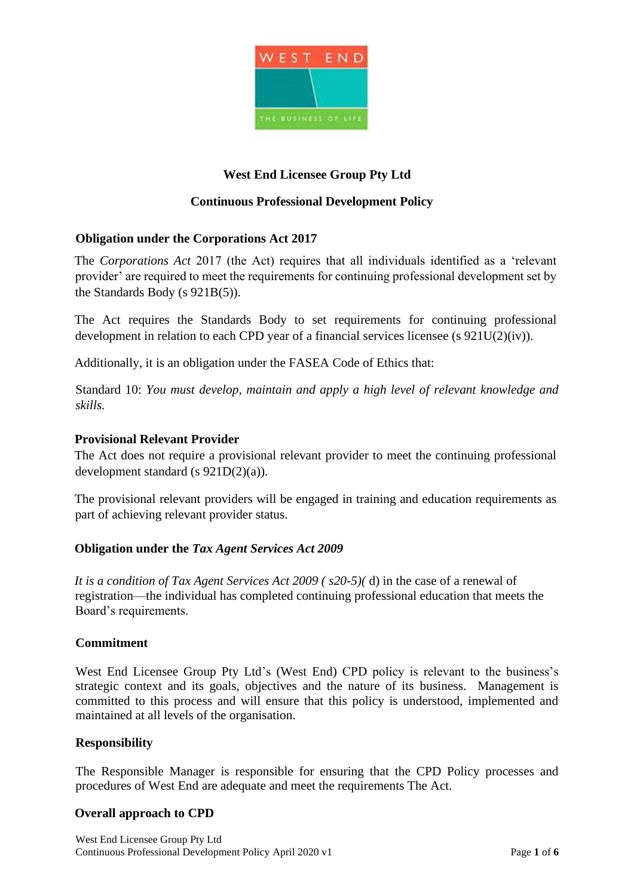

## **West End Licensee Group Pty Ltd**

### **Continuous Professional Development Policy**

### **Obligation under the Corporations Act 2017**

The *Corporations Act* 2017 (the Act) requires that all individuals identified as a 'relevant provider' are required to meet the requirements for continuing professional development set by the Standards Body (s 921B(5)).

The Act requires the Standards Body to set requirements for continuing professional development in relation to each CPD year of a financial services licensee (s 921U(2)(iv)).

Additionally, it is an obligation under the FASEA Code of Ethics that:

Standard 10: *You must develop, maintain and apply a high level of relevant knowledge and skills.*

#### **Provisional Relevant Provider**

The Act does not require a provisional relevant provider to meet the continuing professional development standard (s 921D(2)(a)).

The provisional relevant providers will be engaged in training and education requirements as part of achieving relevant provider status.

#### **Obligation under the** *Tax Agent Services Act 2009*

*It is a condition of Tax Agent Services Act 2009 ( s20-5)(* d) in the case of a renewal of registration—the individual has completed continuing professional education that meets the Board's requirements.

#### **Commitment**

West End Licensee Group Pty Ltd's (West End) CPD policy is relevant to the business's strategic context and its goals, objectives and the nature of its business. Management is committed to this process and will ensure that this policy is understood, implemented and maintained at all levels of the organisation.

#### **Responsibility**

The Responsible Manager is responsible for ensuring that the CPD Policy processes and procedures of West End are adequate and meet the requirements The Act.

#### **Overall approach to CPD**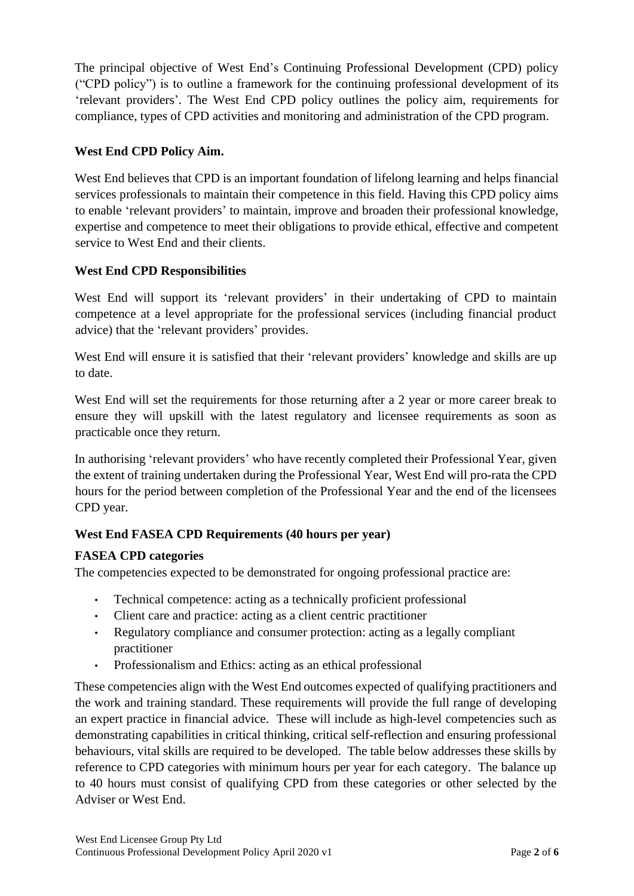The principal objective of West End's Continuing Professional Development (CPD) policy ("CPD policy") is to outline a framework for the continuing professional development of its 'relevant providers'. The West End CPD policy outlines the policy aim, requirements for compliance, types of CPD activities and monitoring and administration of the CPD program.

## **West End CPD Policy Aim.**

West End believes that CPD is an important foundation of lifelong learning and helps financial services professionals to maintain their competence in this field. Having this CPD policy aims to enable 'relevant providers' to maintain, improve and broaden their professional knowledge, expertise and competence to meet their obligations to provide ethical, effective and competent service to West End and their clients.

## **West End CPD Responsibilities**

West End will support its 'relevant providers' in their undertaking of CPD to maintain competence at a level appropriate for the professional services (including financial product advice) that the 'relevant providers' provides.

West End will ensure it is satisfied that their 'relevant providers' knowledge and skills are up to date.

West End will set the requirements for those returning after a 2 year or more career break to ensure they will upskill with the latest regulatory and licensee requirements as soon as practicable once they return.

In authorising 'relevant providers' who have recently completed their Professional Year, given the extent of training undertaken during the Professional Year, West End will pro-rata the CPD hours for the period between completion of the Professional Year and the end of the licensees CPD year.

# **West End FASEA CPD Requirements (40 hours per year)**

# **FASEA CPD categories**

The competencies expected to be demonstrated for ongoing professional practice are:

- Technical competence: acting as a technically proficient professional
- Client care and practice: acting as a client centric practitioner
- Regulatory compliance and consumer protection: acting as a legally compliant practitioner
- Professionalism and Ethics: acting as an ethical professional

These competencies align with the West End outcomes expected of qualifying practitioners and the work and training standard. These requirements will provide the full range of developing an expert practice in financial advice. These will include as high-level competencies such as demonstrating capabilities in critical thinking, critical self-reflection and ensuring professional behaviours, vital skills are required to be developed. The table below addresses these skills by reference to CPD categories with minimum hours per year for each category. The balance up to 40 hours must consist of qualifying CPD from these categories or other selected by the Adviser or West End.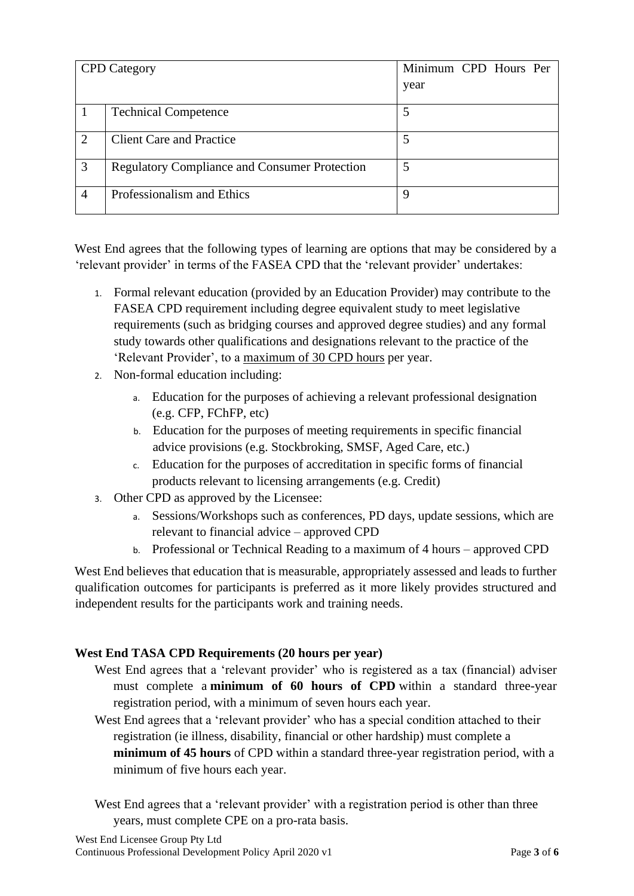| <b>CPD</b> Category |                                                      | Minimum CPD Hours Per |
|---------------------|------------------------------------------------------|-----------------------|
|                     |                                                      | year                  |
|                     | <b>Technical Competence</b>                          |                       |
| 2                   | <b>Client Care and Practice</b>                      |                       |
| 3                   | <b>Regulatory Compliance and Consumer Protection</b> | 5                     |
| 4                   | Professionalism and Ethics                           | 9                     |

West End agrees that the following types of learning are options that may be considered by a 'relevant provider' in terms of the FASEA CPD that the 'relevant provider' undertakes:

- 1. Formal relevant education (provided by an Education Provider) may contribute to the FASEA CPD requirement including degree equivalent study to meet legislative requirements (such as bridging courses and approved degree studies) and any formal study towards other qualifications and designations relevant to the practice of the 'Relevant Provider', to a maximum of 30 CPD hours per year.
- 2. Non-formal education including:
	- a. Education for the purposes of achieving a relevant professional designation (e.g. CFP, FChFP, etc)
	- b. Education for the purposes of meeting requirements in specific financial advice provisions (e.g. Stockbroking, SMSF, Aged Care, etc.)
	- c. Education for the purposes of accreditation in specific forms of financial products relevant to licensing arrangements (e.g. Credit)
- 3. Other CPD as approved by the Licensee:
	- a. Sessions/Workshops such as conferences, PD days, update sessions, which are relevant to financial advice – approved CPD
	- b. Professional or Technical Reading to a maximum of 4 hours approved CPD

West End believes that education that is measurable, appropriately assessed and leads to further qualification outcomes for participants is preferred as it more likely provides structured and independent results for the participants work and training needs.

## **West End TASA CPD Requirements (20 hours per year)**

- West End agrees that a 'relevant provider' who is registered as a tax (financial) adviser must complete a **minimum of 60 hours of CPD** within a standard three-year registration period, with a minimum of seven hours each year.
- West End agrees that a 'relevant provider' who has a special condition attached to their registration (ie illness, disability, financial or other hardship) must complete a **minimum of 45 hours** of CPD within a standard three-year registration period, with a minimum of five hours each year.

West End agrees that a 'relevant provider' with a registration period is other than three years, must complete CPE on a pro-rata basis.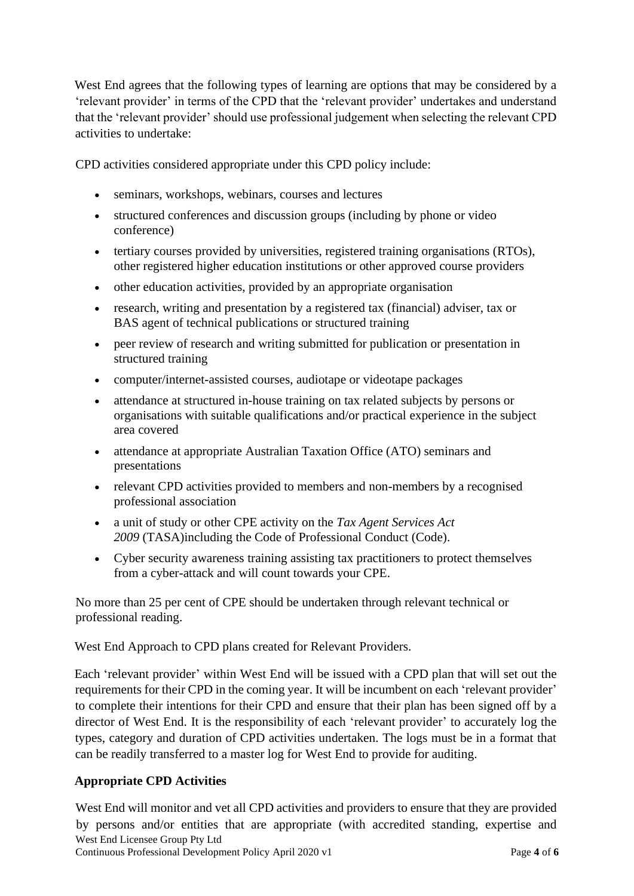West End agrees that the following types of learning are options that may be considered by a 'relevant provider' in terms of the CPD that the 'relevant provider' undertakes and understand that the 'relevant provider' should use professional judgement when selecting the relevant CPD activities to undertake:

CPD activities considered appropriate under this CPD policy include:

- seminars, workshops, webinars, courses and lectures
- structured conferences and discussion groups (including by phone or video conference)
- tertiary courses provided by universities, registered training organisations (RTOs), other registered higher education institutions or other approved course providers
- other education activities, provided by an appropriate organisation
- research, writing and presentation by a registered tax (financial) adviser, tax or BAS agent of technical publications or structured training
- peer review of research and writing submitted for publication or presentation in structured training
- computer/internet-assisted courses, audiotape or videotape packages
- attendance at structured in-house training on tax related subjects by persons or organisations with suitable qualifications and/or practical experience in the subject area covered
- attendance at appropriate Australian Taxation Office (ATO) seminars and presentations
- relevant CPD activities provided to members and non-members by a recognised [professional association](https://www.tpb.gov.au/recognised-professional-associations)
- a unit of study or other CPE activity on the *[Tax Agent Services Act](https://www.legislation.gov.au/Series/C2009A00013)  2009* [\(TASA\)i](https://www.legislation.gov.au/Series/C2009A00013)ncluding the [Code of Professional Conduct](https://www.tpb.gov.au/comply-code-professional-conduct-tax-agents) (Code).
- Cyber security awareness training assisting tax practitioners to protect themselves from a cyber-attack and will count towards your CPE.

No more than 25 per cent of CPE should be undertaken through relevant technical or professional reading.

West End Approach to CPD plans created for Relevant Providers.

Each 'relevant provider' within West End will be issued with a CPD plan that will set out the requirements for their CPD in the coming year. It will be incumbent on each 'relevant provider' to complete their intentions for their CPD and ensure that their plan has been signed off by a director of West End. It is the responsibility of each 'relevant provider' to accurately log the types, category and duration of CPD activities undertaken. The logs must be in a format that can be readily transferred to a master log for West End to provide for auditing.

## **Appropriate CPD Activities**

West End Licensee Group Pty Ltd Continuous Professional Development Policy April 2020 v1 Page **4** of **6** West End will monitor and vet all CPD activities and providers to ensure that they are provided by persons and/or entities that are appropriate (with accredited standing, expertise and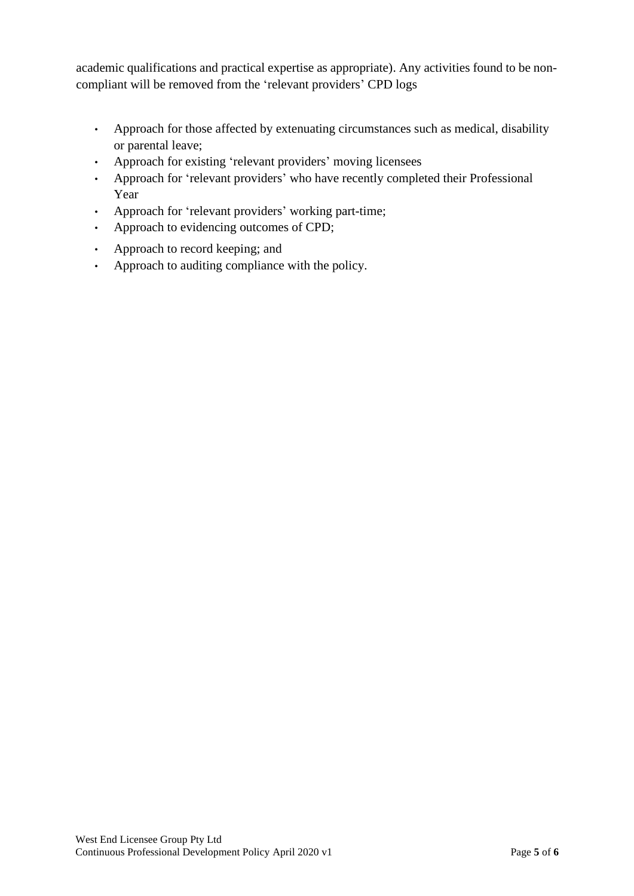academic qualifications and practical expertise as appropriate). Any activities found to be noncompliant will be removed from the 'relevant providers' CPD logs

- Approach for those affected by extenuating circumstances such as medical, disability or parental leave;
- Approach for existing 'relevant providers' moving licensees
- Approach for 'relevant providers' who have recently completed their Professional Year
- Approach for 'relevant providers' working part-time;
- Approach to evidencing outcomes of CPD;
- Approach to record keeping; and
- Approach to auditing compliance with the policy.